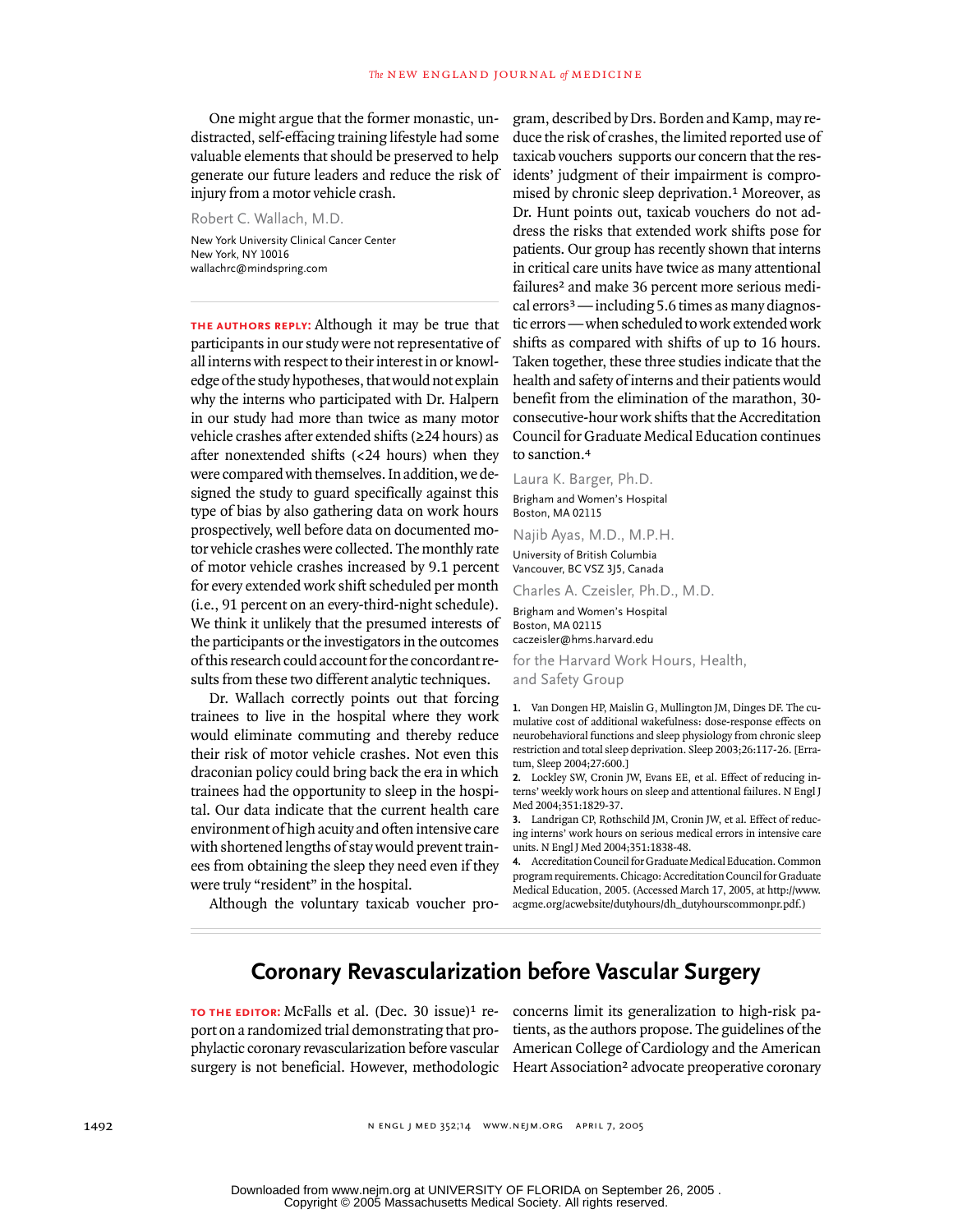One might argue that the former monastic, undistracted, self-effacing training lifestyle had some valuable elements that should be preserved to help generate our future leaders and reduce the risk of injury from a motor vehicle crash.

Robert C. Wallach, M.D. New York University Clinical Cancer Center New York, NY 10016 wallachrc@mindspring.com

**the authors reply:** Although it may be true that participants in our study were not representative of all interns with respect to their interest in or knowledge of the study hypotheses, that would not explain why the interns who participated with Dr. Halpern in our study had more than twice as many motor vehicle crashes after extended shifts (≥24 hours) as after nonextended shifts (<24 hours) when they were compared with themselves. In addition, we designed the study to guard specifically against this type of bias by also gathering data on work hours prospectively, well before data on documented motor vehicle crashes were collected. The monthly rate of motor vehicle crashes increased by 9.1 percent for every extended work shift scheduled per month (i.e., 91 percent on an every-third-night schedule). We think it unlikely that the presumed interests of the participants or the investigators in the outcomes of this research could account for the concordant results from these two different analytic techniques.

Dr. Wallach correctly points out that forcing trainees to live in the hospital where they work would eliminate commuting and thereby reduce their risk of motor vehicle crashes. Not even this draconian policy could bring back the era in which trainees had the opportunity to sleep in the hospital. Our data indicate that the current health care environment of high acuity and often intensive care with shortened lengths of stay would prevent trainees from obtaining the sleep they need even if they were truly "resident" in the hospital.

Although the voluntary taxicab voucher pro-

gram, described by Drs. Borden and Kamp, may reduce the risk of crashes, the limited reported use of taxicab vouchers supports our concern that the residents' judgment of their impairment is compromised by chronic sleep deprivation.1 Moreover, as Dr. Hunt points out, taxicab vouchers do not address the risks that extended work shifts pose for patients. Our group has recently shown that interns in critical care units have twice as many attentional failures<sup>2</sup> and make 36 percent more serious medical errors3 — including 5.6 times as many diagnostic errors — when scheduled to work extended work shifts as compared with shifts of up to 16 hours. Taken together, these three studies indicate that the health and safety of interns and their patients would benefit from the elimination of the marathon, 30 consecutive-hour work shifts that the Accreditation Council for Graduate Medical Education continues to sanction.<sup>4</sup>

Laura K. Barger, Ph.D. Brigham and Women's Hospital Boston, MA 02115

Najib Ayas, M.D., M.P.H. University of British Columbia Vancouver, BC VSZ 3J5, Canada

Charles A. Czeisler, Ph.D., M.D.

Brigham and Women's Hospital Boston, MA 02115 caczeisler@hms.harvard.edu

for the Harvard Work Hours, Health, and Safety Group

**1.** Van Dongen HP, Maislin G, Mullington JM, Dinges DF. The cumulative cost of additional wakefulness: dose-response effects on neurobehavioral functions and sleep physiology from chronic sleep restriction and total sleep deprivation. Sleep 2003;26:117-26. [Erratum, Sleep 2004;27:600.]

**2.** Lockley SW, Cronin JW, Evans EE, et al. Effect of reducing interns' weekly work hours on sleep and attentional failures. N Engl J Med 2004;351:1829-37.

**3.** Landrigan CP, Rothschild JM, Cronin JW, et al. Effect of reducing interns' work hours on serious medical errors in intensive care units. N Engl J Med 2004;351:1838-48.

**4.** Accreditation Council for Graduate Medical Education. Common program requirements. Chicago: Accreditation Council for Graduate Medical Education, 2005. (Accessed March 17, 2005, at http://www. acgme.org/acwebsite/dutyhours/dh\_dutyhourscommonpr.pdf.)

## **Coronary Revascularization before Vascular Surgery**

TO THE EDITOR: McFalls et al. (Dec. 30 issue)<sup>1</sup> re- concerns limit its generalization to high-risk paport on a randomized trial demonstrating that prosurgery is not beneficial. However, methodologic Heart Association<sup>2</sup> advocate preoperative coronary

phylactic coronary revascularization before vascular American College of Cardiology and the American tients, as the authors propose. The guidelines of the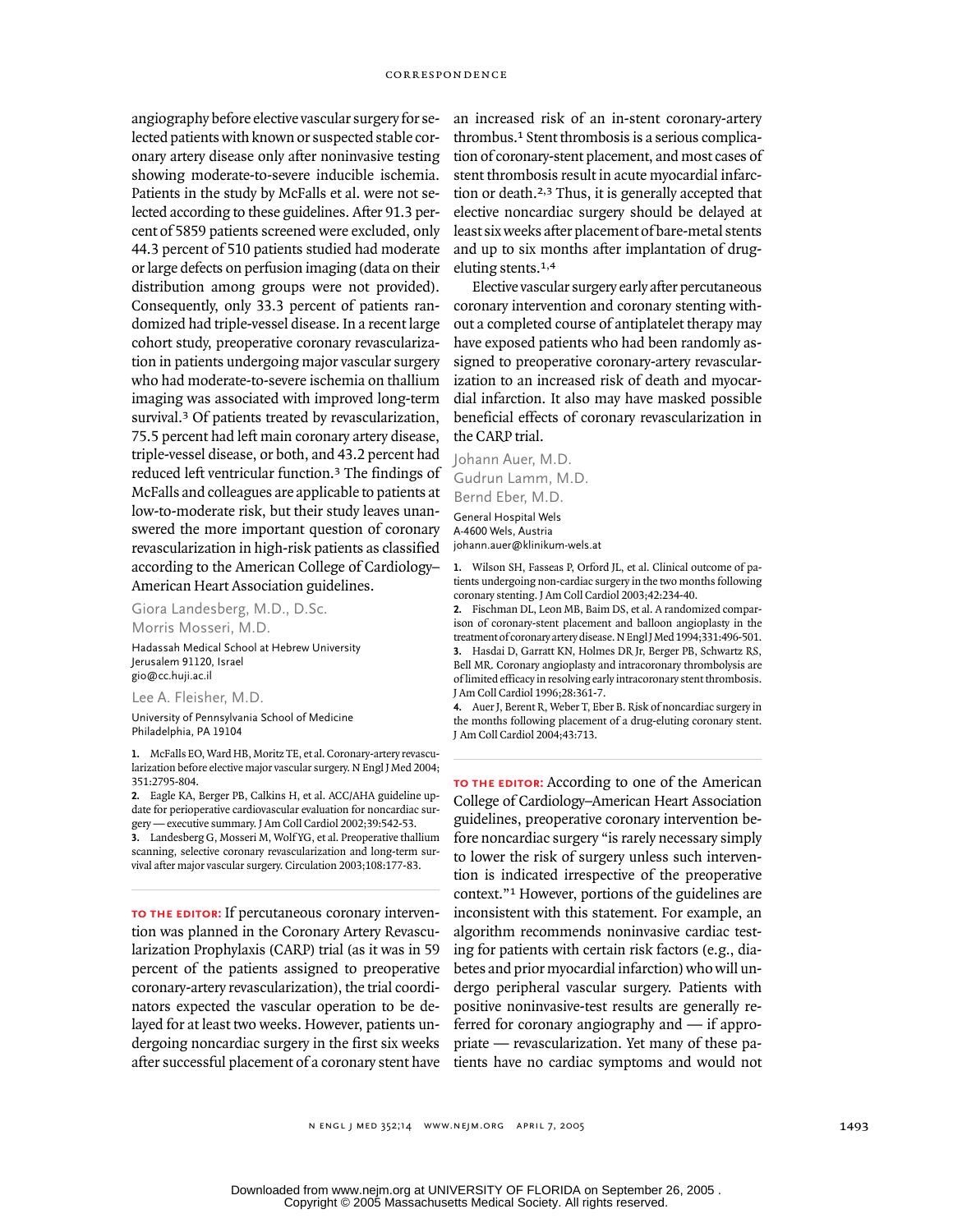angiography before elective vascular surgery for selected patients with known or suspected stable coronary artery disease only after noninvasive testing showing moderate-to-severe inducible ischemia. Patients in the study by McFalls et al. were not selected according to these guidelines. After 91.3 percent of 5859 patients screened were excluded, only 44.3 percent of 510 patients studied had moderate or large defects on perfusion imaging (data on their distribution among groups were not provided). Consequently, only 33.3 percent of patients randomized had triple-vessel disease. In a recent large cohort study, preoperative coronary revascularization in patients undergoing major vascular surgery who had moderate-to-severe ischemia on thallium imaging was associated with improved long-term survival.<sup>3</sup> Of patients treated by revascularization, 75.5 percent had left main coronary artery disease, triple-vessel disease, or both, and 43.2 percent had reduced left ventricular function.3 The findings of McFalls and colleagues are applicable to patients at low-to-moderate risk, but their study leaves unanswered the more important question of coronary revascularization in high-risk patients as classified according to the American College of Cardiology– American Heart Association guidelines.

Giora Landesberg, M.D., D.Sc. Morris Mosseri, M.D.

Hadassah Medical School at Hebrew University Jerusalem 91120, Israel gio@cc.huji.ac.il

Lee A. Fleisher, M.D.

University of Pennsylvania School of Medicine Philadelphia, PA 19104

**1.** McFalls EO, Ward HB, Moritz TE, et al. Coronary-artery revascularization before elective major vascular surgery. N Engl J Med 2004; 351:2795-804.

**2.** Eagle KA, Berger PB, Calkins H, et al. ACC/AHA guideline update for perioperative cardiovascular evaluation for noncardiac surgery — executive summary. J Am Coll Cardiol 2002;39:542-53.

**3.** Landesberg G, Mosseri M, Wolf YG, et al. Preoperative thallium scanning, selective coronary revascularization and long-term survival after major vascular surgery. Circulation 2003;108:177-83.

**to the editor:** If percutaneous coronary intervention was planned in the Coronary Artery Revascularization Prophylaxis (CARP) trial (as it was in 59 percent of the patients assigned to preoperative coronary-artery revascularization), the trial coordinators expected the vascular operation to be delayed for at least two weeks. However, patients undergoing noncardiac surgery in the first six weeks after successful placement of a coronary stent have

an increased risk of an in-stent coronary-artery thrombus.1 Stent thrombosis is a serious complication of coronary-stent placement, and most cases of stent thrombosis result in acute myocardial infarction or death.2,3 Thus, it is generally accepted that elective noncardiac surgery should be delayed at least six weeks after placement of bare-metal stents and up to six months after implantation of drugeluting stents.1,4

Elective vascular surgery early after percutaneous coronary intervention and coronary stenting without a completed course of antiplatelet therapy may have exposed patients who had been randomly assigned to preoperative coronary-artery revascularization to an increased risk of death and myocardial infarction. It also may have masked possible beneficial effects of coronary revascularization in the CARP trial.

Johann Auer, M.D. Gudrun Lamm, M.D. Bernd Eber, M.D.

General Hospital Wels A-4600 Wels, Austria johann.auer@klinikum-wels.at

**1.** Wilson SH, Fasseas P, Orford JL, et al. Clinical outcome of patients undergoing non-cardiac surgery in the two months following coronary stenting. J Am Coll Cardiol 2003;42:234-40.

**2.** Fischman DL, Leon MB, Baim DS, et al. A randomized comparison of coronary-stent placement and balloon angioplasty in the treatment of coronary artery disease. N Engl J Med 1994;331:496-501. **3.** Hasdai D, Garratt KN, Holmes DR Jr, Berger PB, Schwartz RS,

Bell MR. Coronary angioplasty and intracoronary thrombolysis are of limited efficacy in resolving early intracoronary stent thrombosis. J Am Coll Cardiol 1996;28:361-7.

**4.** Auer J, Berent R, Weber T, Eber B. Risk of noncardiac surgery in the months following placement of a drug-eluting coronary stent. J Am Coll Cardiol 2004;43:713.

**to the editor:** According to one of the American College of Cardiology–American Heart Association guidelines, preoperative coronary intervention before noncardiac surgery "is rarely necessary simply to lower the risk of surgery unless such intervention is indicated irrespective of the preoperative context."1 However, portions of the guidelines are inconsistent with this statement. For example, an algorithm recommends noninvasive cardiac testing for patients with certain risk factors (e.g., diabetes and prior myocardial infarction) who will undergo peripheral vascular surgery. Patients with positive noninvasive-test results are generally referred for coronary angiography and — if appropriate — revascularization. Yet many of these patients have no cardiac symptoms and would not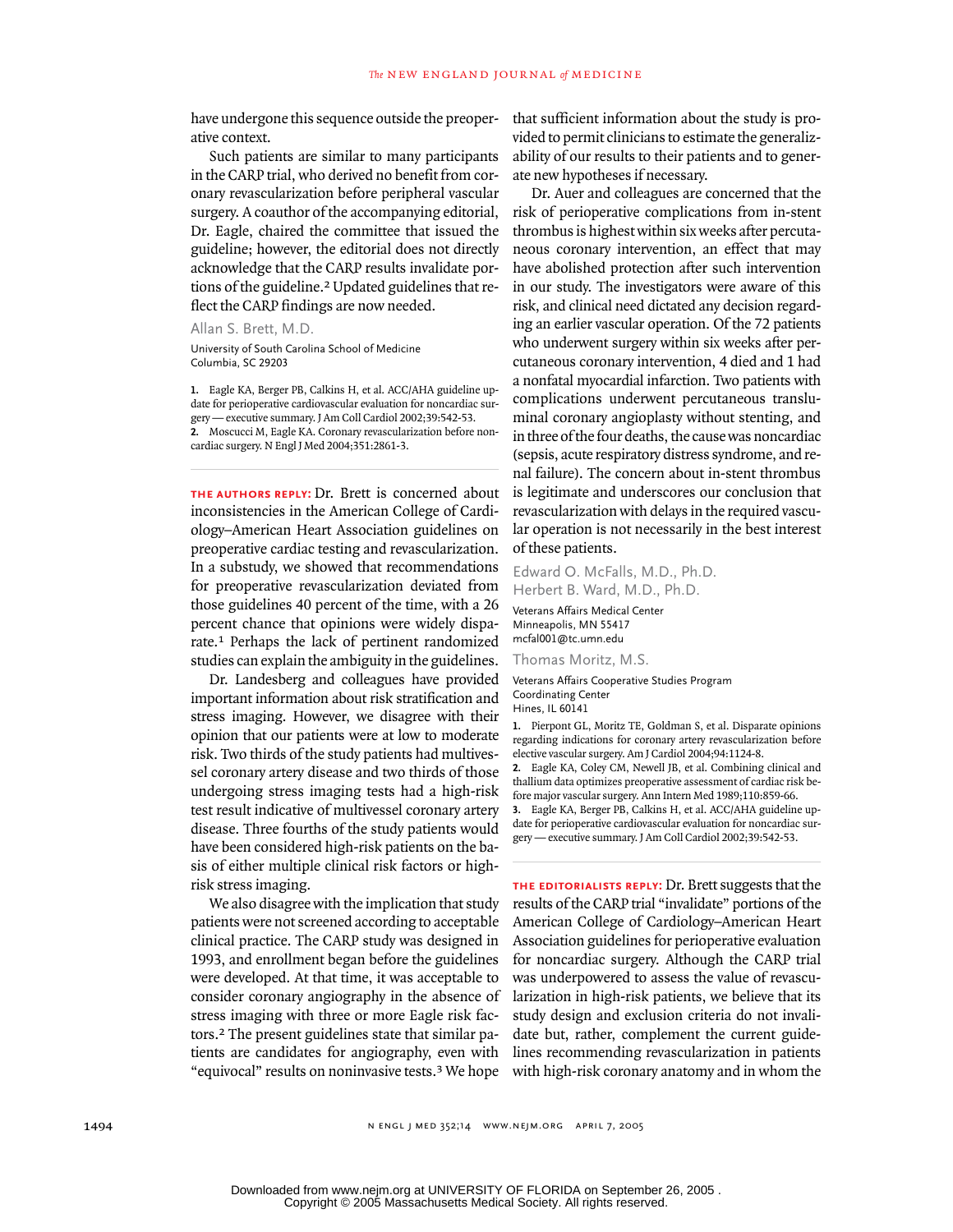have undergone this sequence outside the preoperative context.

Such patients are similar to many participants in the CARP trial, who derived no benefit from coronary revascularization before peripheral vascular surgery. A coauthor of the accompanying editorial, Dr. Eagle, chaired the committee that issued the guideline; however, the editorial does not directly acknowledge that the CARP results invalidate portions of the guideline.2 Updated guidelines that reflect the CARP findings are now needed.

Allan S. Brett, M.D.

University of South Carolina School of Medicine Columbia, SC 29203

**1.** Eagle KA, Berger PB, Calkins H, et al. ACC/AHA guideline update for perioperative cardiovascular evaluation for noncardiac surgery — executive summary. J Am Coll Cardiol 2002;39:542-53. **2.** Moscucci M, Eagle KA. Coronary revascularization before noncardiac surgery. N Engl J Med 2004;351:2861-3.

**the authors reply:** Dr. Brett is concerned about inconsistencies in the American College of Cardiology–American Heart Association guidelines on preoperative cardiac testing and revascularization. In a substudy, we showed that recommendations for preoperative revascularization deviated from those guidelines 40 percent of the time, with a 26 percent chance that opinions were widely disparate.1 Perhaps the lack of pertinent randomized studies can explain the ambiguity in the guidelines.

Dr. Landesberg and colleagues have provided important information about risk stratification and stress imaging. However, we disagree with their opinion that our patients were at low to moderate risk. Two thirds of the study patients had multivessel coronary artery disease and two thirds of those undergoing stress imaging tests had a high-risk test result indicative of multivessel coronary artery disease. Three fourths of the study patients would have been considered high-risk patients on the basis of either multiple clinical risk factors or highrisk stress imaging.

We also disagree with the implication that study patients were not screened according to acceptable clinical practice. The CARP study was designed in 1993, and enrollment began before the guidelines were developed. At that time, it was acceptable to consider coronary angiography in the absence of stress imaging with three or more Eagle risk factors.2 The present guidelines state that similar patients are candidates for angiography, even with "equivocal" results on noninvasive tests.3 We hope that sufficient information about the study is provided to permit clinicians to estimate the generalizability of our results to their patients and to generate new hypotheses if necessary.

Dr. Auer and colleagues are concerned that the risk of perioperative complications from in-stent thrombus is highest within six weeks after percutaneous coronary intervention, an effect that may have abolished protection after such intervention in our study. The investigators were aware of this risk, and clinical need dictated any decision regarding an earlier vascular operation. Of the 72 patients who underwent surgery within six weeks after percutaneous coronary intervention, 4 died and 1 had a nonfatal myocardial infarction. Two patients with complications underwent percutaneous transluminal coronary angioplasty without stenting, and in three of the four deaths, the cause was noncardiac (sepsis, acute respiratory distress syndrome, and renal failure). The concern about in-stent thrombus is legitimate and underscores our conclusion that revascularization with delays in the required vascular operation is not necessarily in the best interest of these patients.

Edward O. McFalls, M.D., Ph.D. Herbert B. Ward, M.D., Ph.D.

Veterans Affairs Medical Center Minneapolis, MN 55417 mcfal001@tc.umn.edu

Thomas Moritz, M.S.

Veterans Affairs Cooperative Studies Program Coordinating Center Hines, IL 60141

**1.** Pierpont GL, Moritz TE, Goldman S, et al. Disparate opinions regarding indications for coronary artery revascularization before elective vascular surgery. Am J Cardiol 2004;94:1124-8.

**2.** Eagle KA, Coley CM, Newell JB, et al. Combining clinical and thallium data optimizes preoperative assessment of cardiac risk before major vascular surgery. Ann Intern Med 1989;110:859-66.

**3.** Eagle KA, Berger PB, Calkins H, et al. ACC/AHA guideline update for perioperative cardiovascular evaluation for noncardiac surgery — executive summary. J Am Coll Cardiol 2002;39:542-53.

**the editorialists reply:** Dr. Brett suggests that the results of the CARP trial "invalidate" portions of the American College of Cardiology–American Heart Association guidelines for perioperative evaluation for noncardiac surgery. Although the CARP trial was underpowered to assess the value of revascularization in high-risk patients, we believe that its study design and exclusion criteria do not invalidate but, rather, complement the current guidelines recommending revascularization in patients with high-risk coronary anatomy and in whom the